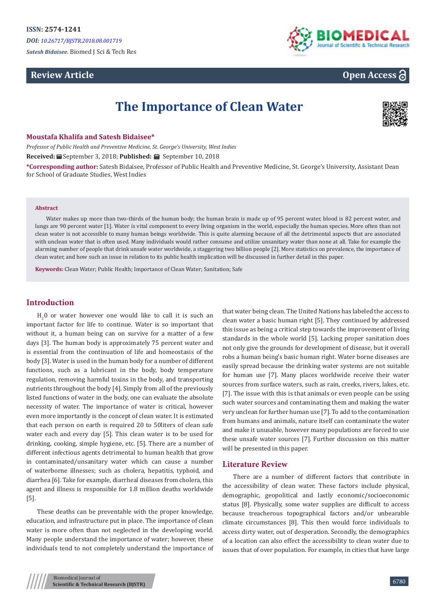*Satesh Bidaisee.* Biomed J Sci & Tech Res

# **Review Article**



# **Open Access**

# **The Importance of Clean Water**



#### **Moustafa Khalifa and Satesh Bidaisee\***

*Professor of Public Health and Preventive Medicine, St. George's University, West Indies*

**Received:** September 3, 2018; **Published:** September 10, 2018

**\*Corresponding author:** Satesh Bidaisee, Professor of Public Health and Preventive Medicine, St. George's University, Assistant Dean for School of Graduate Studies, West Indies

#### **Abstract**

Water makes up more than two-thirds of the human body; the human brain is made up of 95 percent water, blood is 82 percent water, and lungs are 90 percent water [1]. Water is vital component to every living organism in the world, especially the human species. More often than not clean water is not accessible to many human beings worldwide. This is quite alarming because of all the detrimental aspects that are associated with unclean water that is often used. Many individuals would rather consume and utilize unsanitary water than none at all. Take for example the alarming number of people that drink unsafe water worldwide, a staggering two billion people [2]. More statistics on prevalence, the importance of clean water, and how such an issue in relation to its public health implication will be discussed in further detail in this paper.

**Keywords:** Clean Water; Public Health; Importance of Clean Water; Sanitation; Safe

# **Introduction**

 $H_2$ O or water however one would like to call it is such an important factor for life to continue. Water is so important that without it, a human being can on survive for a matter of a few days [3]. The human body is approximately 75 percent water and is essential from the continuation of life and homeostasis of the body [3]. Water is used in the human body for a number of different functions, such as a lubricant in the body, body temperature regulation, removing harmful toxins in the body, and transporting nutrients throughout the body [4]. Simply from all of the previously listed functions of water in the body, one can evaluate the absolute necessity of water. The importance of water is critical, however even more importantly is the concept of clean water. It is estimated that each person on earth is required 20 to 50liters of clean safe water each and every day [5]. This clean water is to be used for drinking, cooking, simple hygiene, etc. [5]. There are a number of different infectious agents detrimental to human health that grow in contaminated/unsanitary water which can cause a number of waterborne illnesses; such as cholera, hepatitis, typhoid, and diarrhea [6]. Take for example, diarrheal diseases from cholera, this agent and illness is responsible for 1.8 million deaths worldwide [5].

These deaths can be preventable with the proper knowledge, education, and infrastructure put in place. The importance of clean water is more often than not neglected in the developing world. Many people understand the importance of water; however, these individuals tend to not completely understand the importance of that water being clean. The United Nations has labeled the access to clean water a basic human right [5]. They continued by addressed this issue as being a critical step towards the improvement of living standards in the whole world [5]. Lacking proper sanitation does not only give the grounds for development of disease, but it overall robs a human being's basic human right. Water borne diseases are easily spread because the drinking water systems are not suitable for human use [7]. Many places worldwide receive their water sources from surface waters, such as rain, creeks, rivers, lakes, etc. [7]. The issue with this is that animals or even people can be using such water sources and contaminating them and making the water very unclean for further human use [7]. To add to the contamination from humans and animals, nature itself can contaminate the water and make it unusable, however many populations are forced to use these unsafe water sources [7]. Further discussion on this matter will be presented in this paper.

#### **Literature Review**

There are a number of different factors that contribute in the accessibility of clean water. These factors include physical, demographic, geopolitical and lastly economic/socioeconomic status [8]. Physically, some water supplies are difficult to access because treacherous topographical factors and/or unbearable climate circumstances [8]. This then would force individuals to access dirty water, out of desperation. Secondly, the demographics of a location can also effect the accessibility to clean water due to issues that of over population. For example, in cities that have large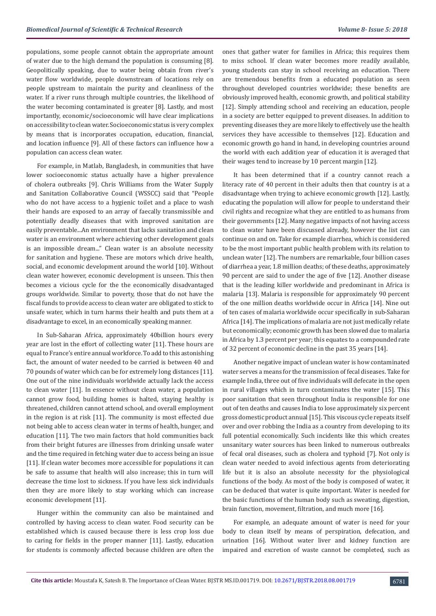populations, some people cannot obtain the appropriate amount of water due to the high demand the population is consuming [8]. Geopolitically speaking, due to water being obtain from river's water flow worldwide, people downstream of locations rely on people upstream to maintain the purity and cleanliness of the water. If a river runs through multiple countries, the likelihood of the water becoming contaminated is greater [8]. Lastly, and most importantly, economic/socioeconomic will have clear implications on accessibility to clean water. Socioeconomic status is very complex by means that is incorporates occupation, education, financial, and location influence [9]. All of these factors can influence how a population can access clean water.

For example, in Matlab, Bangladesh, in communities that have lower socioeconomic status actually have a higher prevalence of cholera outbreaks [9]. Chris Williams from the Water Supply and Sanitation Collaborative Council (WSSCC) said that "People who do not have access to a hygienic toilet and a place to wash their hands are exposed to an array of faecally transmissible and potentially deadly diseases that with improved sanitation are easily preventable...An environment that lacks sanitation and clean water is an environment where achieving other development goals is an impossible dream..." Clean water is an absolute necessity for sanitation and hygiene. These are motors which drive health, social, and economic development around the world [10]. Without clean water however, economic development is unseen. This then becomes a vicious cycle for the the economically disadvantaged groups worldwide. Similar to poverty, those that do not have the fiscal funds to provide access to clean water are obligated to stick to unsafe water, which in turn harms their health and puts them at a disadvantage to excel, in an economically speaking manner.

In Sub-Saharan Africa, approximately 40billion hours every year are lost in the effort of collecting water [11]. These hours are equal to France's entire annual workforce. To add to this astonishing fact, the amount of water needed to be carried is between 40 and 70 pounds of water which can be for extremely long distances [11]. One out of the nine individuals worldwide actually lack the access to clean water [11]. In essence without clean water, a population cannot grow food, building homes is halted, staying healthy is threatened, children cannot attend school, and overall employment in the region is at risk [11]. The community is most effected due not being able to access clean water in terms of health, hunger, and education [11]. The two main factors that hold communities back from their bright futures are illnesses from drinking unsafe water and the time required in fetching water due to access being an issue [11]. If clean water becomes more accessible for populations it can be safe to assume that health will also increase; this in turn will decrease the time lost to sickness. If you have less sick individuals then they are more likely to stay working which can increase economic development [11].

Hunger within the community can also be maintained and controlled by having access to clean water. Food security can be established which is caused because there is less crop loss due to caring for fields in the proper manner [11]. Lastly, education for students is commonly affected because children are often the ones that gather water for families in Africa; this requires them to miss school. If clean water becomes more readily available, young students can stay in school receiving an education. There are tremendous benefits from a educated population as seen throughout developed countries worldwide; these benefits are obviously improved health, economic growth, and political stability [12]. Simply attending school and receiving an education, people in a society are better equipped to prevent diseases. In addition to preventing diseases they are more likely to effectively use the health services they have accessible to themselves [12]. Education and economic growth go hand in hand, in developing countries around the world with each addition year of education it is averaged that their wages tend to increase by 10 percent margin [12].

It has been determined that if a country cannot reach a literacy rate of 40 percent in their adults then that country is at a disadvantage when trying to achieve economic growth [12]. Lastly, educating the population will allow for people to understand their civil rights and recognize what they are entitled to as humans from their governments [12]. Many negative impacts of not having access to clean water have been discussed already, however the list can continue on and on. Take for example diarrhea, which is considered to be the most important public health problem with its relation to unclean water [12]. The numbers are remarkable, four billion cases of diarrhea a year, 1.8 million deaths; of these deaths, approximately 90 percent are said to under the age of five [12]. Another disease that is the leading killer worldwide and predominant in Africa is malaria [13]. Malaria is responsible for approximately 90 percent of the one million deaths worldwide occur in Africa [14]. Nine out of ten cases of malaria worldwide occur specifically in sub-Saharan Africa [14]. The implications of malaria are not just medically relate but economically; economic growth has been slowed due to malaria in Africa by 1.3 percent per year; this equates to a compounded rate of 32 percent of economic decline in the past 35 years [14].

Another negative impact of unclean water is how contaminated water serves a means for the transmission of fecal diseases. Take for example India, three out of five individuals will defecate in the open in rural villages which in turn contaminates the water [15]. This poor sanitation that seen throughout India is responsible for one out of ten deaths and causes India to lose approximately six percent gross domestic product annual [15]. This viscous cycle repeats itself over and over robbing the India as a country from developing to its full potential economically. Such incidents like this which creates unsanitary water sources has been linked to numerous outbreaks of fecal oral diseases, such as cholera and typhoid [7]. Not only is clean water needed to avoid infectious agents from deteriorating life but it is also an absolute necessity for the physiological functions of the body. As most of the body is composed of water, it can be deduced that water is quite important. Water is needed for the basic functions of the human body such as sweating, digestion, brain function, movement, filtration, and much more [16].

For example, an adequate amount of water is need for your body to clean itself by means of perspiration, defecation, and urination [16]. Without water liver and kidney function are impaired and excretion of waste cannot be completed, such as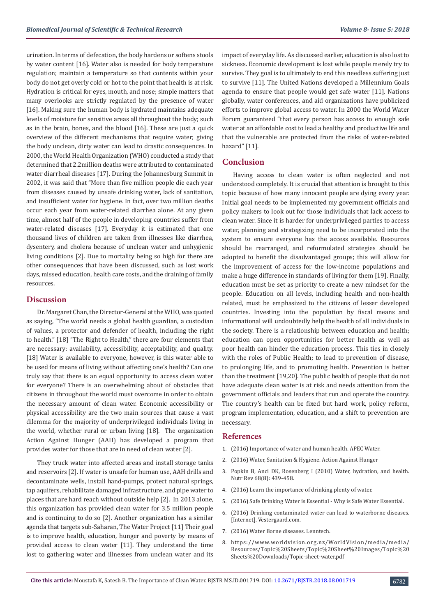urination. In terms of defecation, the body hardens or softens stools by water content [16]. Water also is needed for body temperature regulation; maintain a temperature so that contents within your body do not get overly cold or hot to the point that health is at risk. Hydration is critical for eyes, mouth, and nose; simple matters that many overlooks are strictly regulated by the presence of water [16]. Making sure the human body is hydrated maintains adequate levels of moisture for sensitive areas all throughout the body; such as in the brain, bones, and the blood [16]. These are just a quick overview of the different mechanisms that require water; giving the body unclean, dirty water can lead to drastic consequences. In 2000, the World Health Organization (WHO) conducted a study that determined that 2.2million deaths were attributed to contaminated water diarrheal diseases [17]. During the Johannesburg Summit in 2002, it was said that "More than five million people die each year from diseases caused by unsafe drinking water, lack of sanitation, and insufficient water for hygiene. In fact, over two million deaths occur each year from water-related diarrhea alone. At any given time, almost half of the people in developing countries suffer from water-related diseases [17]. Everyday it is estimated that one thousand lives of children are taken from illnesses like diarrhea, dysentery, and cholera because of unclean water and unhygienic living conditions [2]. Due to mortality being so high for there are other consequences that have been discussed, such as lost work days, missed education, health care costs, and the draining of family resources.

## **Discussion**

Dr. Margaret Chan, the Director-General at the WHO, was quoted as saying, "The world needs a global health guardian, a custodian of values, a protector and defender of health, including the right to health." [18] "The Right to Health," there are four elements that are necessary: availability, accessibility, acceptability, and quality. [18] Water is available to everyone, however, is this water able to be used for means of living without affecting one's health? Can one truly say that there is an equal opportunity to access clean water for everyone? There is an overwhelming about of obstacles that citizens in throughout the world must overcome in order to obtain the necessary amount of clean water. Economic accessibility or physical accessibility are the two main sources that cause a vast dilemma for the majority of underprivileged individuals living in the world, whether rural or urban living [18]. The organization Action Against Hunger (AAH) has developed a program that provides water for those that are in need of clean water [2].

They truck water into affected areas and install storage tanks and reservoirs [2]. If water is unsafe for human use, AAH drills and decontaminate wells, install hand-pumps, protect natural springs, tap aquifers, rehabilitate damaged infrastructure, and pipe water to places that are hard reach without outside help [2]. In 2013 alone, this organization has provided clean water for 3.5 million people and is continuing to do so [2]. Another organization has a similar agenda that targets sub-Saharan, The Water Project [11] Their goal is to improve health, education, hunger and poverty by means of provided access to clean water [11]. They understand the time lost to gathering water and illnesses from unclean water and its

impact of everyday life. As discussed earlier, education is also lost to sickness. Economic development is lost while people merely try to survive. They goal is to ultimately to end this needless suffering just to survive [11]. The United Nations developed a Millennium Goals agenda to ensure that people would get safe water [11]. Nations globally, water conferences, and aid organizations have publicized efforts to improve global access to water. In 2000 the World Water Forum guaranteed "that every person has access to enough safe water at an affordable cost to lead a healthy and productive life and that the vulnerable are protected from the risks of water-related hazard" [11].

## **Conclusion**

Having access to clean water is often neglected and not understood completely. It is crucial that attention is brought to this topic because of how many innocent people are dying every year. Initial goal needs to be implemented my government officials and policy makers to look out for those individuals that lack access to clean water. Since it is harder for underprivileged parties to access water, planning and strategizing need to be incorporated into the system to ensure everyone has the access available. Resources should be rearranged, and reformulated strategies should be adopted to benefit the disadvantaged groups; this will allow for the improvement of access for the low-income populations and make a huge difference in standards of living for them [19]. Finally, education must be set as priority to create a new mindset for the people. Education on all levels, including health and non-health related, must be emphasized to the citizens of lesser developed countries. Investing into the population by fiscal means and informational will undoubtedly help the health of all individuals in the society. There is a relationship between education and health; education can open opportunities for better health as well as poor health can hinder the education process. This ties in closely with the roles of Public Health; to lead to prevention of disease, to prolonging life, and to promoting health. Prevention is better than the treatment [19,20]. The public health of people that do not have adequate clean water is at risk and needs attention from the government officials and leaders that run and operate the country. The country's health can be fixed but hard work, policy reform, program implementation, education, and a shift to prevention are necessary.

#### **References**

- 1. [\(2016\) Importance of water and human health. APEC Water.](https://www.freedrinkingwater.com/water-education/water-health-page2.htm)
- 2. [\(2016\) Water, Sanitation & Hygiene. Action Against Hunger](https://www.actionagainsthunger.org/impact/water-sanitation-hygiene?gclid=CjwKEAjwzN27BRDFn9aAwLmH2yISJABWuEXckPvC_4of2VYp2rCj4XLQp00KNOFOWSRmlmiRg65d8xoCwMLw_wcB)
- 3. [Popkin B, Anci DK, Rosenberg I \(2010\) Water, hydration, and health.](https://www.ncbi.nlm.nih.gov/pmc/articles/PMC2908954/) [Nutr Rev 68\(8\): 439-458.](https://www.ncbi.nlm.nih.gov/pmc/articles/PMC2908954/)
- 4. [\(2016\) Learn the importance of drinking plenty of water.](https://www.freedrinkingwater.com/water-education/water-health-page2.htm)
- 5. [\(2016\) Safe Drinking Water is Essential Why is Safe Water Essential.](https://www.koshland-science-museum.org/water/html/en/Overview/Why-is-Safe-Water-Essential.html)
- 6. [\(2016\) Drinking contaminated water can lead to waterborne diseases.](https://www.vestergaard.com/global-challenges/waterborne-diseases) [\[Internet\]. Vestergaard.com.](https://www.vestergaard.com/global-challenges/waterborne-diseases)
- 7. [\(2016\) Water Borne diseases. Lenntech.](https://www.lenntech.com/library/diseases/diseases/waterborne-diseases.htm)
- 8. https://www.worldvision.org.nz/WorldVision/media/media/ Resources/Topic%20Sheets/Topic%20Sheet%20Images/Topic%20 Sheets%20Downloads/Topic-sheet-water.pdf